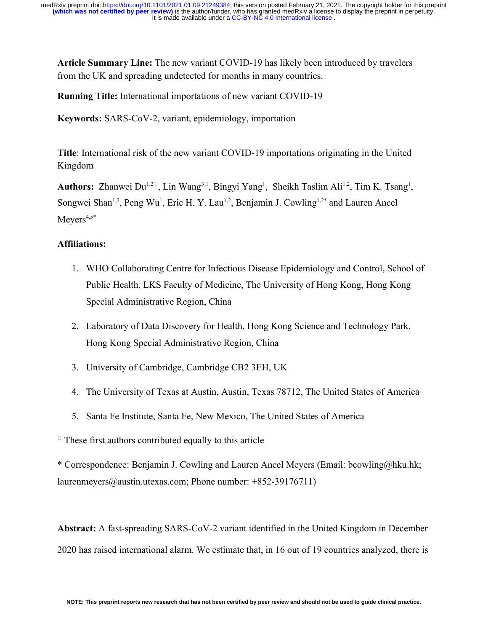**Article Summary Line:** The new variant COVID-19 has likely been introduced by travelers from the UK and spreading undetected for months in many countries.

**Running Title:** International importations of new variant COVID-19

**Keywords:** SARS-CoV-2, variant, epidemiology, importation

**Title**: International risk of the new variant COVID-19 importations originating in the United Kingdom

Authors: Zhanwei Du<sup>1,2 $\square$ , Lin Wang<sup>3 $\square$ </sup>, Bingyi Yang<sup>1</sup>, Sheikh Taslim Ali<sup>1,2</sup>, Tim K. Tsang<sup>1</sup>,</sup> Songwei Shan<sup>1,2</sup>, Peng Wu<sup>1</sup>, Eric H. Y. Lau<sup>1,2</sup>, Benjamin J. Cowling<sup>1,2\*</sup> and Lauren Ancel  $M$ eyers<sup>4,5\*</sup>

## **Affiliations:**

- 1. WHO Collaborating Centre for Infectious Disease Epidemiology and Control, School of Public Health, LKS Faculty of Medicine, The University of Hong Kong, Hong Kong Special Administrative Region, China
- 2. Laboratory of Data Discovery for Health, Hong Kong Science and Technology Park, Hong Kong Special Administrative Region, China
- 3. University of Cambridge, Cambridge CB2 3EH, UK
- 4. The University of Texas at Austin, Austin, Texas 78712, The United States of America
- 5. Santa Fe Institute, Santa Fe, New Mexico, The United States of America

 $\Box$  These first authors contributed equally to this article

\* Correspondence: Benjamin J. Cowling and Lauren Ancel Meyers (Email: bcowling@hku.hk; laurenmeyers@austin.utexas.com; Phone number: +852-39176711)

**Abstract:** A fast-spreading SARS-CoV-2 variant identified in the United Kingdom in December 2020 has raised international alarm. We estimate that, in 16 out of 19 countries analyzed, there is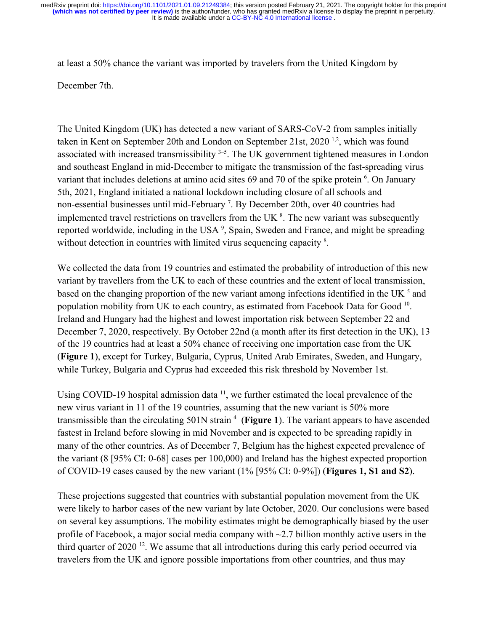at least a 50% chance the variant was imported by travelers from the United Kingdom by December 7th.

The United Kingdom (UK) has detected a new variant of SARS-CoV-2 from samples initially taken in Kent on September 20th and London on September 21st, 2020<sup>[1,2](https://paperpile.com/c/dTeSHc/IQC2f+bpHT0)</sup>, which was found associated with increased transmissibility  $3-5$ . The UK government tightened measures in London and southeast England in mid-December to mitigate the transmission of the fast-spreading virus variant that includes deletions at amino acid sites [6](https://paperpile.com/c/dTeSHc/BylBr)9 and 70 of the spike protein <sup>6</sup>. On January 5th, 2021, England initiated a national lockdown including closure of all schools and non-essential businesses until mid-February<sup>[7](https://paperpile.com/c/dTeSHc/gvv3W)</sup>. By December 20th, over 40 countries had implemented travel restrictions on travellers from the UK $<sup>8</sup>$  $<sup>8</sup>$  $<sup>8</sup>$ . The new variant was subsequently</sup> reported worldwide, including in the USA<sup>[9](https://paperpile.com/c/dTeSHc/R7KQ9)</sup>, Spain, Sweden and France, and might be spreading without detection in countries with limited virus sequencing capacity <sup>[8](https://paperpile.com/c/dTeSHc/moLjM)</sup>.

We collected the data from 19 countries and estimated the probability of introduction of this new variant by travellers from the UK to each of these countries and the extent of local transmission, based on the changing proportion of the new variant among infections identified in the UK $<sup>5</sup>$  $<sup>5</sup>$  $<sup>5</sup>$  and</sup> population mobility from UK to each country, as estimated from Facebook Data for Good<sup>[10](https://paperpile.com/c/dTeSHc/FdDPU)</sup>. Ireland and Hungary had the highest and lowest importation risk between September 22 and December 7, 2020, respectively. By October 22nd (a month after its first detection in the UK), 13 of the 19 countries had at least a 50% chance of receiving one importation case from the UK (**Figure 1**), except for Turkey, Bulgaria, Cyprus, United Arab Emirates, Sweden, and Hungary, while Turkey, Bulgaria and Cyprus had exceeded this risk threshold by November 1st.

Using COVID-19 hospital admission data  $11$ , we further estimated the local prevalence of the new virus variant in 11 of the 19 countries, assuming that the new variant is 50% more transmissible than the circulating 501N strain<sup>[4](https://paperpile.com/c/dTeSHc/hwBY)</sup> (Figure 1). The variant appears to have ascended fastest in Ireland before slowing in mid November and is expected to be spreading rapidly in many of the other countries. As of December 7, Belgium has the highest expected prevalence of the variant (8 [95% CI: 0-68] cases per 100,000) and Ireland has the highest expected proportion of COVID-19 cases caused by the new variant (1% [95% CI: 0-9%]) (**Figures 1, S1 and S2**).

These projections suggested that countries with substantial population movement from the UK were likely to harbor cases of the new variant by late October, 2020. Our conclusions were based on several key assumptions. The mobility estimates might be demographically biased by the user profile of Facebook, a major social media company with  $\sim$ 2.7 billion monthly active users in the third quarter of 2020 [12](https://paperpile.com/c/dTeSHc/TuzkQ). We assume that all introductions during this early period occurred via travelers from the UK and ignore possible importations from other countries, and thus may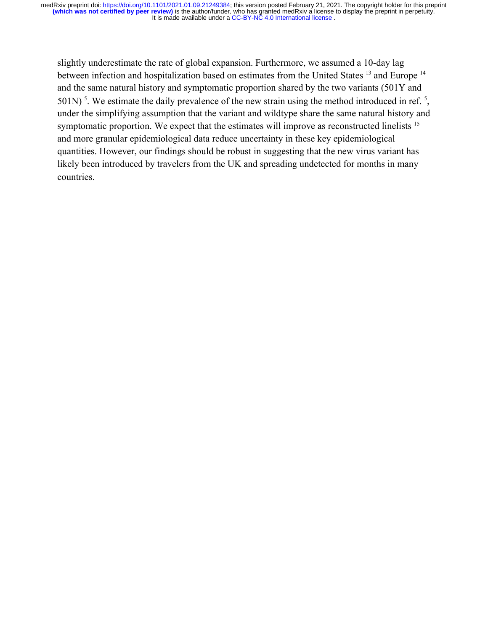slightly underestimate the rate of global expansion. Furthermore, we assumed a 10-day lag between infection and hospitalization based on estimates from the United States <sup>[13](https://paperpile.com/c/dTeSHc/g44Bd)</sup> and Europe <sup>[14](https://paperpile.com/c/dTeSHc/XMMks)</sup> and the same natural history and symptomatic proportion shared by the two variants (501Y and  $501N$  $501N$ )<sup>5</sup>. We estimate the daily prevalence of the new strain using the method introduced in ref.<sup>5</sup>, under the simplifying assumption that the variant and wildtype share the same natural history and symptomatic proportion. We expect that the estimates will improve as reconstructed linelists <sup>[15](https://paperpile.com/c/dTeSHc/XmqGa)</sup> and more granular epidemiological data reduce uncertainty in these key epidemiological quantities. However, our findings should be robust in suggesting that the new virus variant has likely been introduced by travelers from the UK and spreading undetected for months in many countries.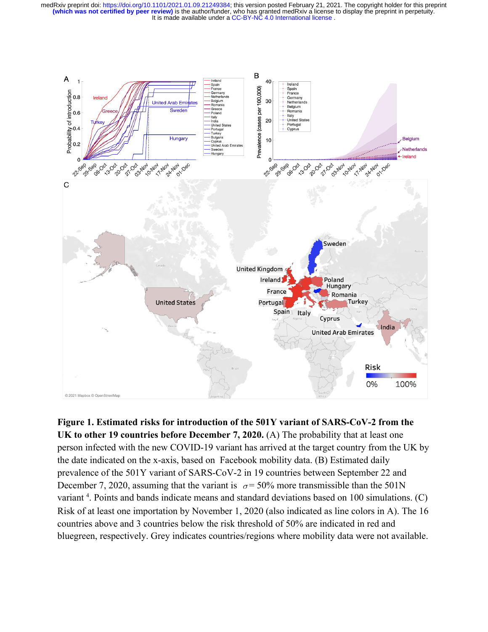It is made available under a CC-BY-NC 4.0 International license. **(which was not certified by peer review)** is the author/funder, who has granted medRxiv a license to display the preprint in perpetuity. medRxiv preprint doi: [https://doi.org/10.1101/2021.01.09.21249384;](https://doi.org/10.1101/2021.01.09.21249384) this version posted February 21, 2021. The copyright holder for this preprint



**Figure 1. Estimated risks for introduction of the 501Y variant of SARS-CoV-2 from the UK to other 19 countries before December 7, 2020.** (A) The probability that at least one person infected with the new COVID-19 variant has arrived at the target country from the UK by the date indicated on the x-axis, based on Facebook mobility data. (B) Estimated daily prevalence of the 501Y variant of SARS-CoV-2 in 19 countries between September 22 and December 7, 2020, assuming that the variant is  $\sigma = 50\%$  $\sigma = 50\%$  $\sigma = 50\%$  more transmissible than the 501N variant<sup>[4](https://paperpile.com/c/dTeSHc/hwBY)</sup>. Points and bands indicate means and standard deviations based on 100 simulations. (C) Risk of at least one importation by November 1, 2020 (also indicated as line colors in A). The 16 countries above and 3 countries below the risk threshold of 50% are indicated in red and bluegreen, respectively. Grey indicates countries/regions where mobility data were not available.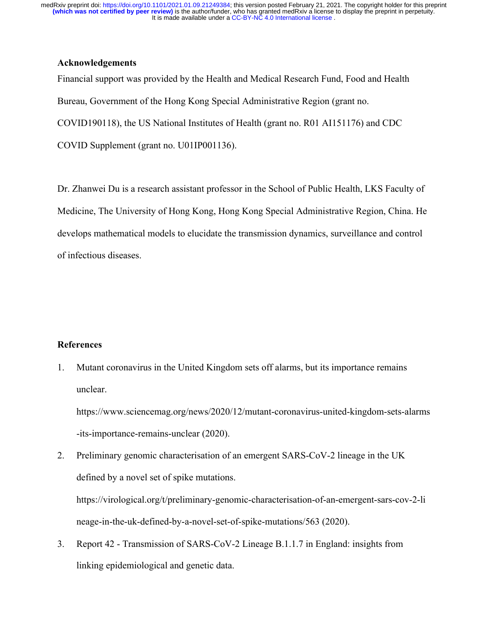## **Acknowledgements**

Financial support was provided by the Health and Medical Research Fund, Food and Health Bureau, Government of the Hong Kong Special Administrative Region (grant no. COVID190118), the US National Institutes of Health (grant no. R01 AI151176) and CDC COVID Supplement (grant no. U01IP001136).

Dr. Zhanwei Du is a research assistant professor in the School of Public Health, LKS Faculty of Medicine, The University of Hong Kong, Hong Kong Special Administrative Region, China. He develops mathematical models to elucidate the transmission dynamics, surveillance and control of infectious diseases.

## **References**

1. [Mutant coronavirus in the United Kingdom sets off alarms, but its importance remains](http://paperpile.com/b/dTeSHc/IQC2f) [unclear.](http://paperpile.com/b/dTeSHc/IQC2f)

[https://www.sciencemag.org/news/2020/12/mutant-coronavirus-united-kingdom-sets-alarms](https://www.sciencemag.org/news/2020/12/mutant-coronavirus-united-kingdom-sets-alarms-its-importance-remains-unclear) [-its-importance-remains-unclear](https://www.sciencemag.org/news/2020/12/mutant-coronavirus-united-kingdom-sets-alarms-its-importance-remains-unclear) [\(2020\).](http://paperpile.com/b/dTeSHc/IQC2f)

- 2. [Preliminary genomic characterisation of an emergent SARS-CoV-2 lineage in the UK](http://paperpile.com/b/dTeSHc/bpHT0) [defined by a novel set of spike mutations.](http://paperpile.com/b/dTeSHc/bpHT0) [https://virological.org/t/preliminary-genomic-characterisation-of-an-emergent-sars-cov-2-li](https://virological.org/t/preliminary-genomic-characterisation-of-an-emergent-sars-cov-2-lineage-in-the-uk-defined-by-a-novel-set-of-spike-mutations/563) [neage-in-the-uk-defined-by-a-novel-set-of-spike-mutations/563](https://virological.org/t/preliminary-genomic-characterisation-of-an-emergent-sars-cov-2-lineage-in-the-uk-defined-by-a-novel-set-of-spike-mutations/563) [\(2020\).](http://paperpile.com/b/dTeSHc/bpHT0)
- 3. [Report 42 Transmission of SARS-CoV-2 Lineage B.1.1.7 in England: insights from](http://paperpile.com/b/dTeSHc/drOj) [linking epidemiological and genetic data.](http://paperpile.com/b/dTeSHc/drOj)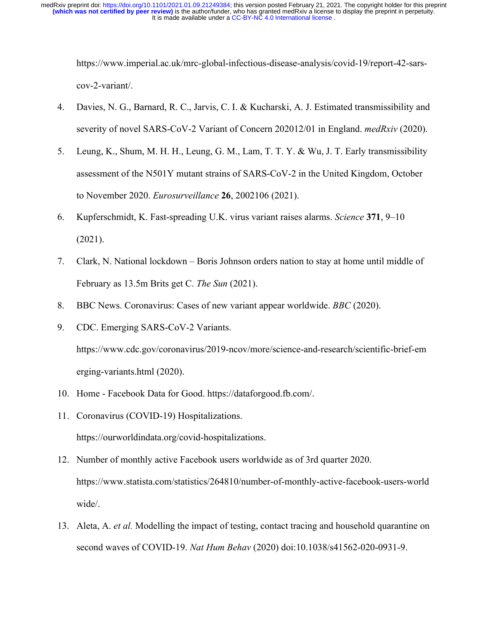[https://www.imperial.ac.uk/mrc-global-infectious-disease-analysis/covid-19/report-42-sars](https://www.imperial.ac.uk/mrc-global-infectious-disease-analysis/covid-19/report-42-sars-cov-2-variant/)[cov-2-variant/](https://www.imperial.ac.uk/mrc-global-infectious-disease-analysis/covid-19/report-42-sars-cov-2-variant/)[.](http://paperpile.com/b/dTeSHc/drOj)

- 4. [Davies, N. G., Barnard, R. C., Jarvis, C. I. & Kucharski, A. J. Estimated transmissibility and](http://paperpile.com/b/dTeSHc/hwBY) [severity of novel SARS-CoV-2 Variant of Concern 202012/01 in England.](http://paperpile.com/b/dTeSHc/hwBY) *[medRxiv](http://paperpile.com/b/dTeSHc/hwBY)* [\(2020\).](http://paperpile.com/b/dTeSHc/hwBY)
- 5. [Leung, K., Shum, M. H. H., Leung, G. M., Lam, T. T. Y. & Wu, J. T. Early transmissibility](http://paperpile.com/b/dTeSHc/xaNI) [assessment of the N501Y mutant strains of SARS-CoV-2 in the United Kingdom, October](http://paperpile.com/b/dTeSHc/xaNI) [to November 2020.](http://paperpile.com/b/dTeSHc/xaNI) *[Eurosurveillance](http://paperpile.com/b/dTeSHc/xaNI)* **[26](http://paperpile.com/b/dTeSHc/xaNI)**[, 2002106 \(2021\).](http://paperpile.com/b/dTeSHc/xaNI)
- 6. [Kupferschmidt, K. Fast-spreading U.K. virus variant raises alarms.](http://paperpile.com/b/dTeSHc/BylBr) *[Science](http://paperpile.com/b/dTeSHc/BylBr)* **[371](http://paperpile.com/b/dTeSHc/BylBr)**[, 9–10](http://paperpile.com/b/dTeSHc/BylBr) [\(2021\).](http://paperpile.com/b/dTeSHc/BylBr)
- 7. [Clark, N. National lockdown Boris Johnson orders nation to stay at home until middle of](http://paperpile.com/b/dTeSHc/gvv3W) [February as 13.5m Brits get C.](http://paperpile.com/b/dTeSHc/gvv3W) *[The Sun](http://paperpile.com/b/dTeSHc/gvv3W)* [\(2021\).](http://paperpile.com/b/dTeSHc/gvv3W)
- 8. [BBC News. Coronavirus: Cases of new variant appear worldwide.](http://paperpile.com/b/dTeSHc/moLjM) *[BBC](http://paperpile.com/b/dTeSHc/moLjM)* [\(2020\).](http://paperpile.com/b/dTeSHc/moLjM)
- 9. [CDC. Emerging SARS-CoV-2 Variants.](http://paperpile.com/b/dTeSHc/R7KQ9) [https://www.cdc.gov/coronavirus/2019-ncov/more/science-and-research/scientific-brief-em](https://www.cdc.gov/coronavirus/2019-ncov/more/science-and-research/scientific-brief-emerging-variants.html) [erging-variants.html](https://www.cdc.gov/coronavirus/2019-ncov/more/science-and-research/scientific-brief-emerging-variants.html) [\(2020\).](http://paperpile.com/b/dTeSHc/R7KQ9)
- 10. [Home Facebook Data for Good.](http://paperpile.com/b/dTeSHc/FdDPU) <https://dataforgood.fb.com/>[.](http://paperpile.com/b/dTeSHc/FdDPU)
- 11. [Coronavirus \(COVID-19\) Hospitalizations.](http://paperpile.com/b/dTeSHc/uJ7jv) <https://ourworldindata.org/covid-hospitalizations>[.](http://paperpile.com/b/dTeSHc/uJ7jv)
- 12. [Number of monthly active Facebook users worldwide as of 3rd quarter 2020.](http://paperpile.com/b/dTeSHc/TuzkQ) [https://www.statista.com/statistics/264810/number-of-monthly-active-facebook-users-world](https://www.statista.com/statistics/264810/number-of-monthly-active-facebook-users-worldwide/) [wide/](https://www.statista.com/statistics/264810/number-of-monthly-active-facebook-users-worldwide/)[.](http://paperpile.com/b/dTeSHc/TuzkQ)
- 13. [Aleta, A.](http://paperpile.com/b/dTeSHc/g44Bd) *[et al.](http://paperpile.com/b/dTeSHc/g44Bd)* [Modelling the impact of testing, contact tracing and household quarantine on](http://paperpile.com/b/dTeSHc/g44Bd) [second waves of COVID-19.](http://paperpile.com/b/dTeSHc/g44Bd) *[Nat Hum Behav](http://paperpile.com/b/dTeSHc/g44Bd)* [\(2020\) doi:](http://paperpile.com/b/dTeSHc/g44Bd)[10.1038/s41562-020-0931-9](http://dx.doi.org/10.1038/s41562-020-0931-9)[.](http://paperpile.com/b/dTeSHc/g44Bd)